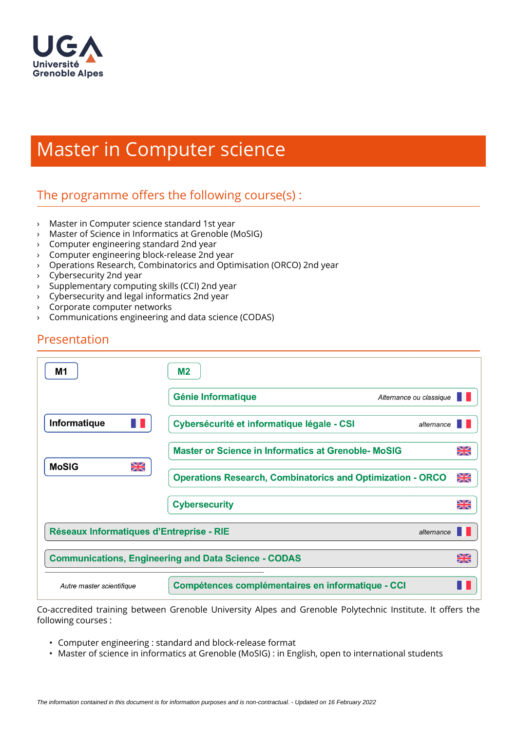

# Master in Computer science

# The programme offers the following course $(s)$ :

- › Master in Computer science standard 1st year
- › Master of Science in Informatics at Grenoble (MoSIG)
- › Computer engineering standard 2nd year
- › Computer engineering block-release 2nd year
- › Operations Research, Combinatorics and Optimisation (ORCO) 2nd year
- › Cybersecurity 2nd year
- › Supplementary computing skills (CCI) 2nd year
- › Cybersecurity and legal informatics 2nd year
- › Corporate computer networks
- › Communications engineering and data science (CODAS)

| M1                                                          | M <sub>2</sub>                                                    |          |
|-------------------------------------------------------------|-------------------------------------------------------------------|----------|
|                                                             | <b>Génie Informatique</b><br>Alternance ou classique              |          |
| Informatique                                                | Cybersécurité et informatique légale - CSI<br>alternance          |          |
| XK<br><b>MoSIG</b>                                          | <b>Master or Science in Informatics at Grenoble- MoSIG</b>        | XK       |
|                                                             | <b>Operations Research, Combinatorics and Optimization - ORCO</b> | XK       |
|                                                             | <b>Cybersecurity</b>                                              | NИ<br>ZR |
| Réseaux Informatiques d'Entreprise - RIE<br>alternance      |                                                                   |          |
| <b>Communications, Engineering and Data Science - CODAS</b> |                                                                   | NZ<br>ZN |
| Autre master scientifique                                   | <b>Compétences complémentaires en informatique - CCI</b>          |          |

Co-accredited training between Grenoble University Alpes and Grenoble Polytechnic Institute. It offers the following courses :

- Computer engineering : standard and block-release format
- Master of science in informatics at Grenoble (MoSIG) : in English, open to international students

Presentation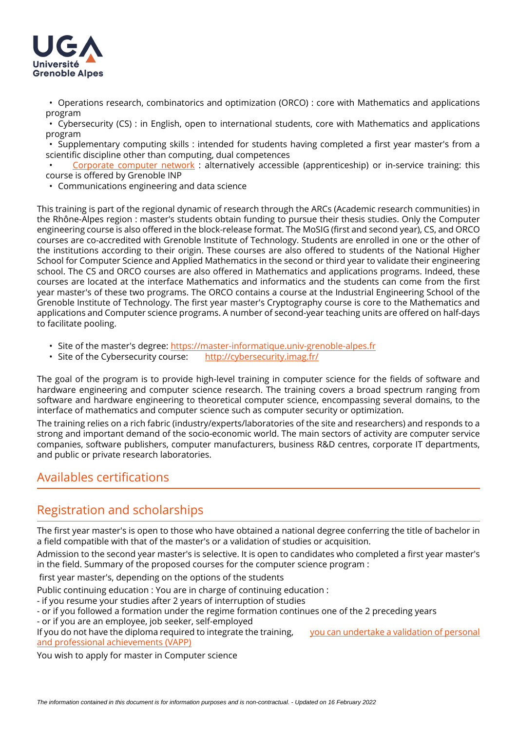

• Operations research, combinatorics and optimization (ORCO) : core with Mathematics and applications program

• Cybersecurity (CS) : in English, open to international students, core with Mathematics and applications program

• Supplementary computing skills : intended for students having completed a first year master's from a scientific discipline other than computing, dual competences

• [Corporate computer network](http://ensimag.grenoble-inp.fr/fr/formation/reseaux-informatiques-d-entreprise) : alternatively accessible (apprenticeship) or in-service training: this course is offered by Grenoble INP

• Communications engineering and data science

This training is part of the regional dynamic of research through the ARCs (Academic research communities) in the Rhône-Alpes region : master's students obtain funding to pursue their thesis studies. Only the Computer engineering course is also offered in the block-release format. The MoSIG (first and second year), CS, and ORCO courses are co-accredited with Grenoble Institute of Technology. Students are enrolled in one or the other of the institutions according to their origin. These courses are also offered to students of the National Higher School for Computer Science and Applied Mathematics in the second or third year to validate their engineering school. The CS and ORCO courses are also offered in Mathematics and applications programs. Indeed, these courses are located at the interface Mathematics and informatics and the students can come from the first year master's of these two programs. The ORCO contains a course at the Industrial Engineering School of the Grenoble Institute of Technology. The first year master's Cryptography course is core to the Mathematics and applications and Computer science programs. A number of second-year teaching units are offered on half-days to facilitate pooling.

- Site of the master's degree: <https://master-informatique.univ-grenoble-alpes.fr>
- Site of the Cybersecurity course: <http://cybersecurity.imag.fr/>

The goal of the program is to provide high-level training in computer science for the fields of software and hardware engineering and computer science research. The training covers a broad spectrum ranging from software and hardware engineering to theoretical computer science, encompassing several domains, to the interface of mathematics and computer science such as computer security or optimization.

The training relies on a rich fabric (industry/experts/laboratories of the site and researchers) and responds to a strong and important demand of the socio-economic world. The main sectors of activity are computer service companies, software publishers, computer manufacturers, business R&D centres, corporate IT departments, and public or private research laboratories.

# Availables certifications

# Registration and scholarships

The first year master's is open to those who have obtained a national degree conferring the title of bachelor in a field compatible with that of the master's or a validation of studies or acquisition.

Admission to the second year master's is selective. It is open to candidates who completed a first year master's in the field. Summary of the proposed courses for the computer science program :

first year master's, depending on the options of the students

Public continuing education : You are in charge of continuing education :

- if you resume your studies after 2 years of interruption of studies
- or if you followed a formation under the regime formation continues one of the 2 preceding years
- or if you are an employee, job seeker, self-employed

If you do not have the diploma required to integrate the training, [you can undertake a validation of personal](https://www.univ-grenoble-alpes.fr/construire-son-parcours/valider-ses-acquis/validation-des-acquis-personnels-et-professionnels-vapp-/)  [and professional achievements \(VAPP\)](https://www.univ-grenoble-alpes.fr/construire-son-parcours/valider-ses-acquis/validation-des-acquis-personnels-et-professionnels-vapp-/)

You wish to apply for master in Computer science